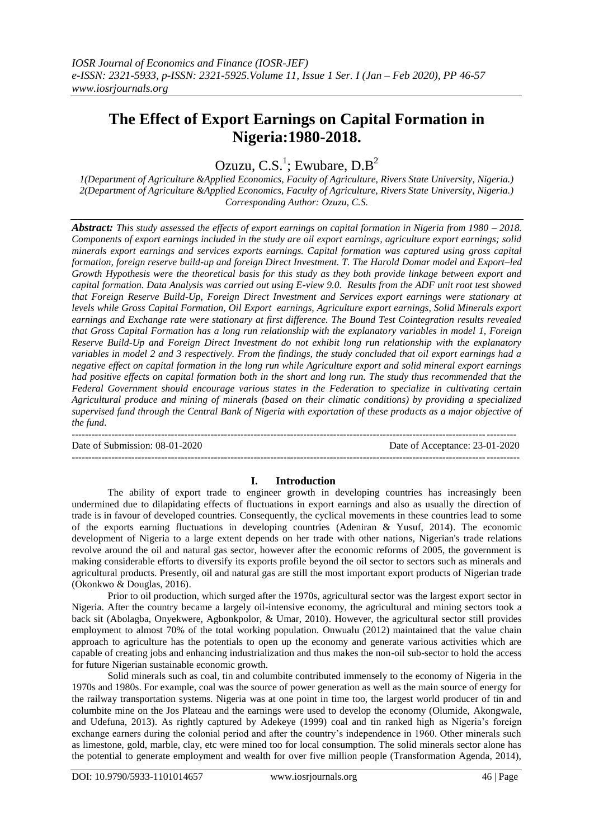# **The Effect of Export Earnings on Capital Formation in Nigeria:1980-2018.**

Ozuzu, C.S.<sup>1</sup>; Ewubare,  $D.B^2$ 

*1(Department of Agriculture &Applied Economics, Faculty of Agriculture, Rivers State University, Nigeria.) 2(Department of Agriculture &Applied Economics, Faculty of Agriculture, Rivers State University, Nigeria.) Corresponding Author: Ozuzu, C.S.*

*Abstract: This study assessed the effects of export earnings on capital formation in Nigeria from 1980 – 2018. Components of export earnings included in the study are oil export earnings, agriculture export earnings; solid minerals export earnings and services exports earnings. Capital formation was captured using gross capital formation, foreign reserve build-up and foreign Direct Investment. T. The Harold Domar model and Export–led Growth Hypothesis were the theoretical basis for this study as they both provide linkage between export and capital formation. Data Analysis was carried out using E-view 9.0. Results from the ADF unit root test showed that Foreign Reserve Build-Up, Foreign Direct Investment and Services export earnings were stationary at levels while Gross Capital Formation, Oil Export earnings, Agriculture export earnings, Solid Minerals export earnings and Exchange rate were stationary at first difference. The Bound Test Cointegration results revealed that Gross Capital Formation has a long run relationship with the explanatory variables in model 1, Foreign Reserve Build-Up and Foreign Direct Investment do not exhibit long run relationship with the explanatory variables in model 2 and 3 respectively. From the findings, the study concluded that oil export earnings had a negative effect on capital formation in the long run while Agriculture export and solid mineral export earnings had positive effects on capital formation both in the short and long run. The study thus recommended that the Federal Government should encourage various states in the Federation to specialize in cultivating certain Agricultural produce and mining of minerals (based on their climatic conditions) by providing a specialized supervised fund through the Central Bank of Nigeria with exportation of these products as a major objective of the fund.*

-------------------------------------------------------------------------------------------------------------------------------------- Date of Submission: 08-01-2020 Date of Acceptance: 23-01-2020 ---------------------------------------------------------------------------------------------------------------------------------------

## **I. Introduction**

The ability of export trade to engineer growth in developing countries has increasingly been undermined due to dilapidating effects of fluctuations in export earnings and also as usually the direction of trade is in favour of developed countries. Consequently, the cyclical movements in these countries lead to some of the exports earning fluctuations in developing countries (Adeniran & Yusuf, 2014). The economic development of Nigeria to a large extent depends on her trade with other nations, Nigerian's trade relations revolve around the oil and natural gas sector, however after the economic reforms of 2005, the government is making considerable efforts to diversify its exports profile beyond the oil sector to sectors such as minerals and agricultural products. Presently, oil and natural gas are still the most important export products of Nigerian trade (Okonkwo & Douglas, 2016).

Prior to oil production, which surged after the 1970s, agricultural sector was the largest export sector in Nigeria. After the country became a largely oil-intensive economy, the agricultural and mining sectors took a back sit (Abolagba, Onyekwere, Agbonkpolor, & Umar, 2010). However, the agricultural sector still provides employment to almost 70% of the total working population. Onwualu (2012) maintained that the value chain approach to agriculture has the potentials to open up the economy and generate various activities which are capable of creating jobs and enhancing industrialization and thus makes the non-oil sub-sector to hold the access for future Nigerian sustainable economic growth.

Solid minerals such as coal, tin and columbite contributed immensely to the economy of Nigeria in the 1970s and 1980s. For example, coal was the source of power generation as well as the main source of energy for the railway transportation systems. Nigeria was at one point in time too, the largest world producer of tin and columbite mine on the Jos Plateau and the earnings were used to develop the economy (Olumide, Akongwale, and Udefuna, 2013). As rightly captured by Adekeye (1999) coal and tin ranked high as Nigeria's foreign exchange earners during the colonial period and after the country's independence in 1960. Other minerals such as limestone, gold, marble, clay, etc were mined too for local consumption. The solid minerals sector alone has the potential to generate employment and wealth for over five million people (Transformation Agenda, 2014),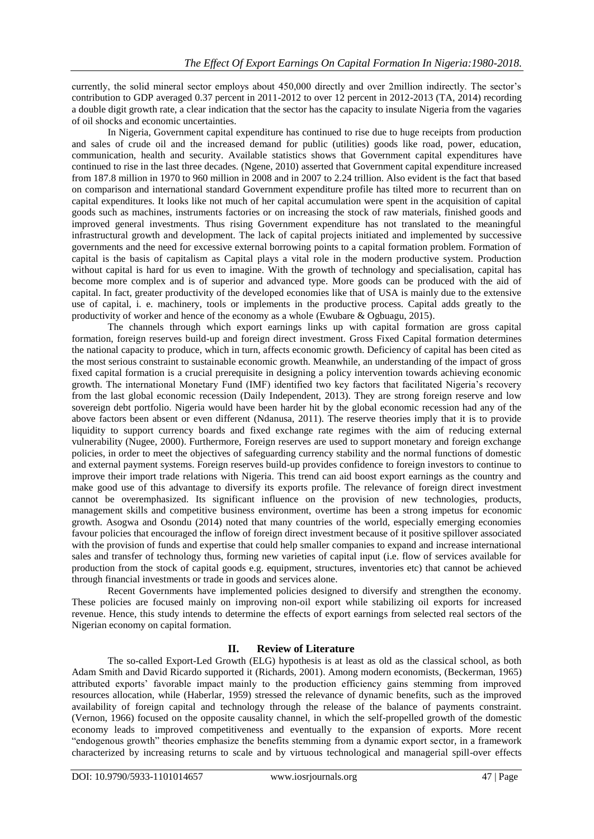currently, the solid mineral sector employs about 450,000 directly and over 2million indirectly. The sector's contribution to GDP averaged 0.37 percent in 2011-2012 to over 12 percent in 2012-2013 (TA, 2014) recording a double digit growth rate, a clear indication that the sector has the capacity to insulate Nigeria from the vagaries of oil shocks and economic uncertainties.

In Nigeria, Government capital expenditure has continued to rise due to huge receipts from production and sales of crude oil and the increased demand for public (utilities) goods like road, power, education, communication, health and security. Available statistics shows that Government capital expenditures have continued to rise in the last three decades. (Ngene, 2010) asserted that Government capital expenditure increased from 187.8 million in 1970 to 960 million in 2008 and in 2007 to 2.24 trillion. Also evident is the fact that based on comparison and international standard Government expenditure profile has tilted more to recurrent than on capital expenditures. It looks like not much of her capital accumulation were spent in the acquisition of capital goods such as machines, instruments factories or on increasing the stock of raw materials, finished goods and improved general investments. Thus rising Government expenditure has not translated to the meaningful infrastructural growth and development. The lack of capital projects initiated and implemented by successive governments and the need for excessive external borrowing points to a capital formation problem. Formation of capital is the basis of capitalism as Capital plays a vital role in the modern productive system. Production without capital is hard for us even to imagine. With the growth of technology and specialisation, capital has become more complex and is of superior and advanced type. More goods can be produced with the aid of capital. In fact, greater productivity of the developed economies like that of USA is mainly due to the extensive use of capital, i. e. machinery, tools or implements in the productive process. Capital adds greatly to the productivity of worker and hence of the economy as a whole (Ewubare & Ogbuagu, 2015).

The channels through which export earnings links up with capital formation are gross capital formation, foreign reserves build-up and foreign direct investment. Gross Fixed Capital formation determines the national capacity to produce, which in turn, affects economic growth. Deficiency of capital has been cited as the most serious constraint to sustainable economic growth. Meanwhile, an understanding of the impact of gross fixed capital formation is a crucial prerequisite in designing a policy intervention towards achieving economic growth. The international Monetary Fund (IMF) identified two key factors that facilitated Nigeria's recovery from the last global economic recession (Daily Independent, 2013). They are strong foreign reserve and low sovereign debt portfolio. Nigeria would have been harder hit by the global economic recession had any of the above factors been absent or even different (Ndanusa, 2011). The reserve theories imply that it is to provide liquidity to support currency boards and fixed exchange rate regimes with the aim of reducing external vulnerability (Nugee, 2000). Furthermore, Foreign reserves are used to support monetary and foreign exchange policies, in order to meet the objectives of safeguarding currency stability and the normal functions of domestic and external payment systems. Foreign reserves build-up provides confidence to foreign investors to continue to improve their import trade relations with Nigeria. This trend can aid boost export earnings as the country and make good use of this advantage to diversify its exports profile. The relevance of foreign direct investment cannot be overemphasized. Its significant influence on the provision of new technologies, products, management skills and competitive business environment, overtime has been a strong impetus for economic growth. Asogwa and Osondu (2014) noted that many countries of the world, especially emerging economies favour policies that encouraged the inflow of foreign direct investment because of it positive spillover associated with the provision of funds and expertise that could help smaller companies to expand and increase international sales and transfer of technology thus, forming new varieties of capital input (i.e. flow of services available for production from the stock of capital goods e.g. equipment, structures, inventories etc) that cannot be achieved through financial investments or trade in goods and services alone.

Recent Governments have implemented policies designed to diversify and strengthen the economy. These policies are focused mainly on improving non-oil export while stabilizing oil exports for increased revenue. Hence, this study intends to determine the effects of export earnings from selected real sectors of the Nigerian economy on capital formation.

## **II. Review of Literature**

The so-called Export-Led Growth (ELG) hypothesis is at least as old as the classical school, as both Adam Smith and David Ricardo supported it (Richards, 2001). Among modern economists, (Beckerman, 1965) attributed exports' favorable impact mainly to the production efficiency gains stemming from improved resources allocation, while (Haberlar, 1959) stressed the relevance of dynamic benefits, such as the improved availability of foreign capital and technology through the release of the balance of payments constraint. (Vernon, 1966) focused on the opposite causality channel, in which the self-propelled growth of the domestic economy leads to improved competitiveness and eventually to the expansion of exports. More recent "endogenous growth" theories emphasize the benefits stemming from a dynamic export sector, in a framework characterized by increasing returns to scale and by virtuous technological and managerial spill-over effects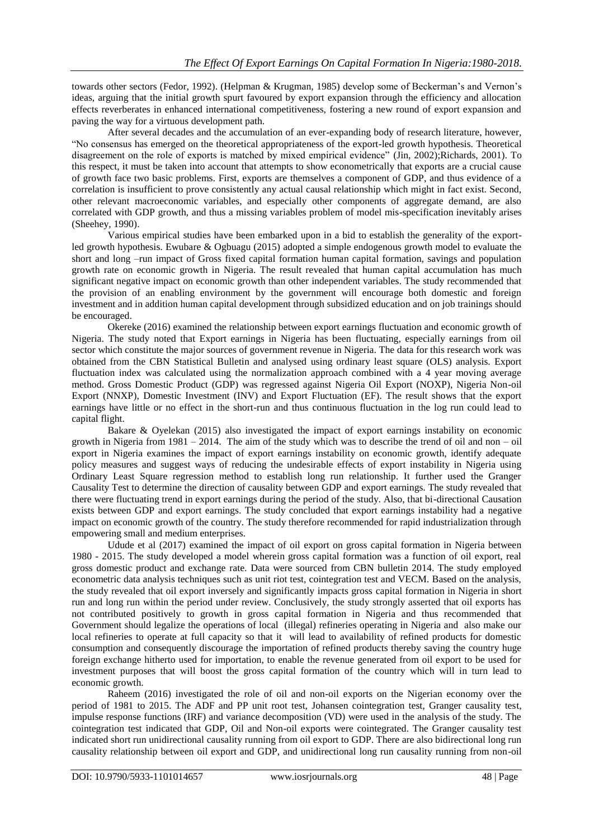towards other sectors (Fedor, 1992). (Helpman & Krugman, 1985) develop some of Beckerman's and Vernon's ideas, arguing that the initial growth spurt favoured by export expansion through the efficiency and allocation effects reverberates in enhanced international competitiveness, fostering a new round of export expansion and paving the way for a virtuous development path.

After several decades and the accumulation of an ever-expanding body of research literature, however, "No consensus has emerged on the theoretical appropriateness of the export-led growth hypothesis. Theoretical disagreement on the role of exports is matched by mixed empirical evidence" (Jin, 2002);Richards, 2001). To this respect, it must be taken into account that attempts to show econometrically that exports are a crucial cause of growth face two basic problems. First, exports are themselves a component of GDP, and thus evidence of a correlation is insufficient to prove consistently any actual causal relationship which might in fact exist. Second, other relevant macroeconomic variables, and especially other components of aggregate demand, are also correlated with GDP growth, and thus a missing variables problem of model mis-specification inevitably arises (Sheehey, 1990).

Various empirical studies have been embarked upon in a bid to establish the generality of the exportled growth hypothesis. Ewubare & Ogbuagu (2015) adopted a simple endogenous growth model to evaluate the short and long –run impact of Gross fixed capital formation human capital formation, savings and population growth rate on economic growth in Nigeria. The result revealed that human capital accumulation has much significant negative impact on economic growth than other independent variables. The study recommended that the provision of an enabling environment by the government will encourage both domestic and foreign investment and in addition human capital development through subsidized education and on job trainings should be encouraged.

Okereke (2016) examined the relationship between export earnings fluctuation and economic growth of Nigeria. The study noted that Export earnings in Nigeria has been fluctuating, especially earnings from oil sector which constitute the major sources of government revenue in Nigeria. The data for this research work was obtained from the CBN Statistical Bulletin and analysed using ordinary least square (OLS) analysis. Export fluctuation index was calculated using the normalization approach combined with a 4 year moving average method. Gross Domestic Product (GDP) was regressed against Nigeria Oil Export (NOXP), Nigeria Non-oil Export (NNXP), Domestic Investment (INV) and Export Fluctuation (EF). The result shows that the export earnings have little or no effect in the short-run and thus continuous fluctuation in the log run could lead to capital flight.

Bakare & Oyelekan (2015) also investigated the impact of export earnings instability on economic growth in Nigeria from 1981 – 2014. The aim of the study which was to describe the trend of oil and non – oil export in Nigeria examines the impact of export earnings instability on economic growth, identify adequate policy measures and suggest ways of reducing the undesirable effects of export instability in Nigeria using Ordinary Least Square regression method to establish long run relationship. It further used the Granger Causality Test to determine the direction of causality between GDP and export earnings. The study revealed that there were fluctuating trend in export earnings during the period of the study. Also, that bi-directional Causation exists between GDP and export earnings. The study concluded that export earnings instability had a negative impact on economic growth of the country. The study therefore recommended for rapid industrialization through empowering small and medium enterprises.

Udude et al (2017) examined the impact of oil export on gross capital formation in Nigeria between 1980 - 2015. The study developed a model wherein gross capital formation was a function of oil export, real gross domestic product and exchange rate. Data were sourced from CBN bulletin 2014. The study employed econometric data analysis techniques such as unit riot test, cointegration test and VECM. Based on the analysis, the study revealed that oil export inversely and significantly impacts gross capital formation in Nigeria in short run and long run within the period under review. Conclusively, the study strongly asserted that oil exports has not contributed positively to growth in gross capital formation in Nigeria and thus recommended that Government should legalize the operations of local (illegal) refineries operating in Nigeria and also make our local refineries to operate at full capacity so that it will lead to availability of refined products for domestic consumption and consequently discourage the importation of refined products thereby saving the country huge foreign exchange hitherto used for importation, to enable the revenue generated from oil export to be used for investment purposes that will boost the gross capital formation of the country which will in turn lead to economic growth.

Raheem (2016) investigated the role of oil and non-oil exports on the Nigerian economy over the period of 1981 to 2015. The ADF and PP unit root test, Johansen cointegration test, Granger causality test, impulse response functions (IRF) and variance decomposition (VD) were used in the analysis of the study. The cointegration test indicated that GDP, Oil and Non-oil exports were cointegrated. The Granger causality test indicated short run unidirectional causality running from oil export to GDP. There are also bidirectional long run causality relationship between oil export and GDP, and unidirectional long run causality running from non-oil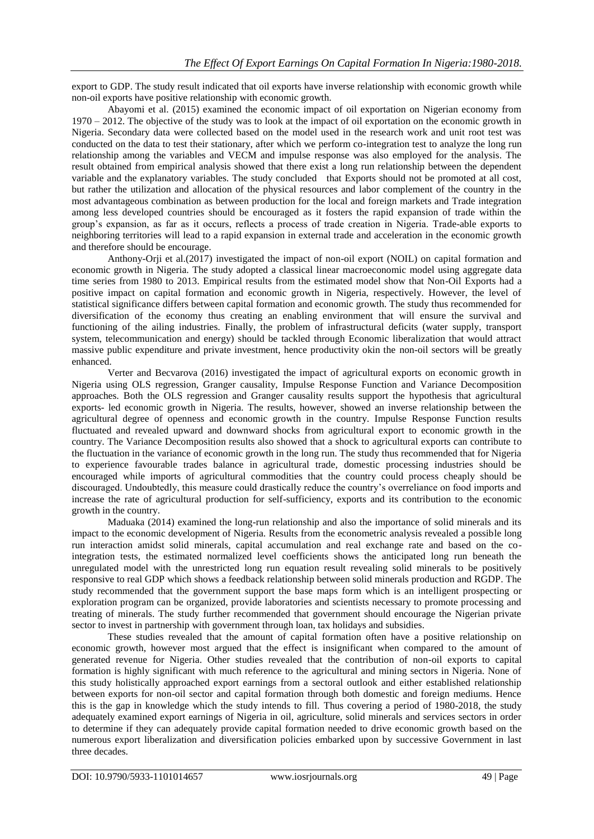export to GDP. The study result indicated that oil exports have inverse relationship with economic growth while non-oil exports have positive relationship with economic growth.

Abayomi et al. (2015) examined the economic impact of oil exportation on Nigerian economy from 1970 – 2012. The objective of the study was to look at the impact of oil exportation on the economic growth in Nigeria. Secondary data were collected based on the model used in the research work and unit root test was conducted on the data to test their stationary, after which we perform co-integration test to analyze the long run relationship among the variables and VECM and impulse response was also employed for the analysis. The result obtained from empirical analysis showed that there exist a long run relationship between the dependent variable and the explanatory variables. The study concluded that Exports should not be promoted at all cost, but rather the utilization and allocation of the physical resources and labor complement of the country in the most advantageous combination as between production for the local and foreign markets and Trade integration among less developed countries should be encouraged as it fosters the rapid expansion of trade within the group's expansion, as far as it occurs, reflects a process of trade creation in Nigeria. Trade-able exports to neighboring territories will lead to a rapid expansion in external trade and acceleration in the economic growth and therefore should be encourage.

Anthony-Orji et al.(2017) investigated the impact of non-oil export (NOIL) on capital formation and economic growth in Nigeria. The study adopted a classical linear macroeconomic model using aggregate data time series from 1980 to 2013. Empirical results from the estimated model show that Non-Oil Exports had a positive impact on capital formation and economic growth in Nigeria, respectively. However, the level of statistical significance differs between capital formation and economic growth. The study thus recommended for diversification of the economy thus creating an enabling environment that will ensure the survival and functioning of the ailing industries. Finally, the problem of infrastructural deficits (water supply, transport system, telecommunication and energy) should be tackled through Economic liberalization that would attract massive public expenditure and private investment, hence productivity okin the non-oil sectors will be greatly enhanced.

Verter and Becvarova (2016) investigated the impact of agricultural exports on economic growth in Nigeria using OLS regression, Granger causality, Impulse Response Function and Variance Decomposition approaches. Both the OLS regression and Granger causality results support the hypothesis that agricultural exports- led economic growth in Nigeria. The results, however, showed an inverse relationship between the agricultural degree of openness and economic growth in the country. Impulse Response Function results fluctuated and revealed upward and downward shocks from agricultural export to economic growth in the country. The Variance Decomposition results also showed that a shock to agricultural exports can contribute to the fluctuation in the variance of economic growth in the long run. The study thus recommended that for Nigeria to experience favourable trades balance in agricultural trade, domestic processing industries should be encouraged while imports of agricultural commodities that the country could process cheaply should be discouraged. Undoubtedly, this measure could drastically reduce the country's overreliance on food imports and increase the rate of agricultural production for self-sufficiency, exports and its contribution to the economic growth in the country.

Maduaka (2014) examined the long-run relationship and also the importance of solid minerals and its impact to the economic development of Nigeria. Results from the econometric analysis revealed a possible long run interaction amidst solid minerals, capital accumulation and real exchange rate and based on the cointegration tests, the estimated normalized level coefficients shows the anticipated long run beneath the unregulated model with the unrestricted long run equation result revealing solid minerals to be positively responsive to real GDP which shows a feedback relationship between solid minerals production and RGDP. The study recommended that the government support the base maps form which is an intelligent prospecting or exploration program can be organized, provide laboratories and scientists necessary to promote processing and treating of minerals. The study further recommended that government should encourage the Nigerian private sector to invest in partnership with government through loan, tax holidays and subsidies.

These studies revealed that the amount of capital formation often have a positive relationship on economic growth, however most argued that the effect is insignificant when compared to the amount of generated revenue for Nigeria. Other studies revealed that the contribution of non-oil exports to capital formation is highly significant with much reference to the agricultural and mining sectors in Nigeria. None of this study holistically approached export earnings from a sectoral outlook and either established relationship between exports for non-oil sector and capital formation through both domestic and foreign mediums. Hence this is the gap in knowledge which the study intends to fill. Thus covering a period of 1980-2018, the study adequately examined export earnings of Nigeria in oil, agriculture, solid minerals and services sectors in order to determine if they can adequately provide capital formation needed to drive economic growth based on the numerous export liberalization and diversification policies embarked upon by successive Government in last three decades.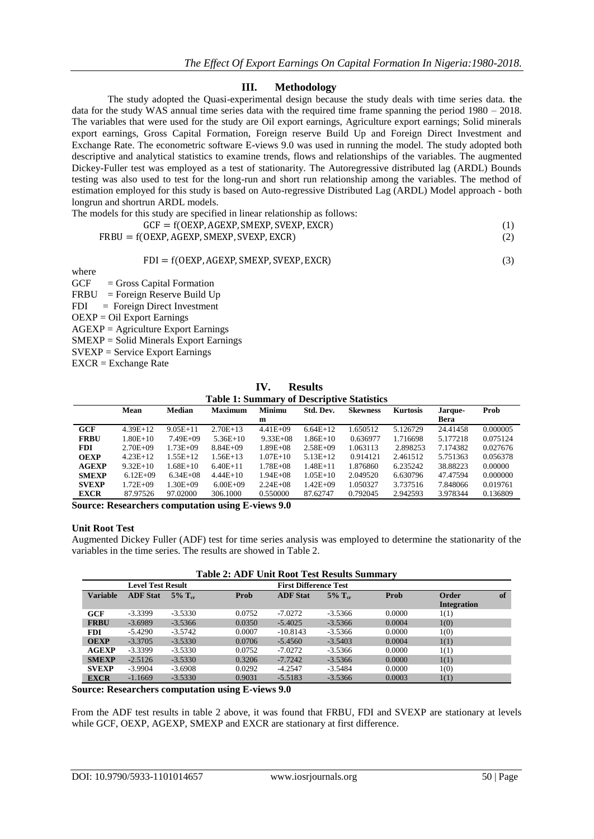## **III. Methodology**

The study adopted the Quasi-experimental design because the study deals with time series data. **t**he data for the study WAS annual time series data with the required time frame spanning the period 1980 – 2018. The variables that were used for the study are Oil export earnings, Agriculture export earnings; Solid minerals export earnings, Gross Capital Formation, Foreign reserve Build Up and Foreign Direct Investment and Exchange Rate. The econometric software E-views 9.0 was used in running the model. The study adopted both descriptive and analytical statistics to examine trends, flows and relationships of the variables. The augmented Dickey-Fuller test was employed as a test of stationarity. The Autoregressive distributed lag (ARDL) Bounds testing was also used to test for the long-run and short run relationship among the variables. The method of estimation employed for this study is based on Auto-regressive Distributed Lag (ARDL) Model approach - both longrun and shortrun ARDL models.

The models for this study are specified in linear relationship as follows:

$$
GCF = f(OEXP, AGEXP, SMEXP, SVEXP, EXCR)
$$
 (1)

$$
FRBU = f(OEXP, AGEXP, SMEXP, SVEXP, EXCR)
$$
\n(2)

 $FDI = f(OEXP, AGEXP, SMEXP, SVEXP, EXCR)$  (3)

where

GCF = Gross Capital Formation

FRBU = Foreign Reserve Build Up FDI = Foreign Direct Investment OEXP = Oil Export Earnings AGEXP = Agriculture Export Earnings SMEXP = Solid Minerals Export Earnings SVEXP = Service Export Earnings

EXCR = Exchange Rate

**IV. Results Table 1: Summary of Descriptive Statistics**

| Tuble 1: Bullingty of Descriptive Buildones |              |               |                |               |              |                 |                 |          |          |
|---------------------------------------------|--------------|---------------|----------------|---------------|--------------|-----------------|-----------------|----------|----------|
|                                             | Mean         | <b>Median</b> | <b>Maximum</b> | <b>Minimu</b> | Std. Dev.    | <b>Skewness</b> | <b>Kurtosis</b> | Jarque-  | Prob     |
|                                             |              |               |                | m             |              |                 |                 | Bera     |          |
| GCF                                         | $4.39E+12$   | $9.05E + 11$  | $2.70E+13$     | $4.41E + 09$  | $6.64E+12$   | 1.650512        | 5.126729        | 24.41458 | 0.000005 |
| <b>FRBU</b>                                 | 1.80E+10     | $7.49E + 09$  | $5.36E+10$     | $9.33E + 08$  | $1.86E+10$   | 0.636977        | 1.716698        | 5.177218 | 0.075124 |
| <b>FDI</b>                                  | $2.70E + 09$ | $1.73E + 09$  | $8.84E + 09$   | $1.89E + 0.8$ | $2.58E + 09$ | 1.063113        | 2.898253        | 7.174382 | 0.027676 |
| <b>OEXP</b>                                 | $4.23E+12$   | $1.55E+12$    | 1.56E+13       | $1.07E + 10$  | $5.13E+12$   | 0.914121        | 2.461512        | 5.751363 | 0.056378 |
| <b>AGEXP</b>                                | $9.32E+10$   | $1.68E + 10$  | $6.40E+11$     | $1.78E + 08$  | $1.48E + 11$ | 1.876860        | 6.235242        | 38.88223 | 0.00000  |
| <b>SMEXP</b>                                | $6.12E + 09$ | $6.34E + 08$  | $4.44E+10$     | $1.94E + 08$  | $1.05E+10$   | 2.049520        | 6.630796        | 47.47594 | 0.000000 |
| <b>SVEXP</b>                                | 1.72E+09     | $1.30E + 09$  | $6.00E + 09$   | $2.24E + 08$  | $1.42E + 09$ | 1.050327        | 3.737516        | 7.848066 | 0.019761 |
| <b>EXCR</b>                                 | 87.97526     | 97.02000      | 306.1000       | 0.550000      | 87.62747     | 0.792045        | 2.942593        | 3.978344 | 0.136809 |

**Source: Researchers computation using E-views 9.0**

#### **Unit Root Test**

Augmented Dickey Fuller (ADF) test for time series analysis was employed to determine the stationarity of the variables in the time series. The results are showed in Table 2.

| <b>Table 2: ADF Unit Root Test Results Summary</b> |                          |                       |        |                              |                       |        |                      |    |
|----------------------------------------------------|--------------------------|-----------------------|--------|------------------------------|-----------------------|--------|----------------------|----|
|                                                    | <b>Level Test Result</b> |                       |        | <b>First Difference Test</b> |                       |        |                      |    |
| <b>Variable</b>                                    | <b>ADF</b> Stat          | $5\%$ T <sub>cr</sub> | Prob   | <b>ADF</b> Stat              | $5\%$ T <sub>cr</sub> | Prob   | Order<br>Integration | of |
| GCF                                                | $-3.3399$                | $-3.5330$             | 0.0752 | $-7.0272$                    | $-3.5366$             | 0.0000 | 1(1)                 |    |
| <b>FRBU</b>                                        | $-3.6989$                | $-3.5366$             | 0.0350 | $-5.4025$                    | $-3.5366$             | 0.0004 | 1(0)                 |    |
| <b>FDI</b>                                         | $-5.4290$                | $-3.5742$             | 0.0007 | $-10.8143$                   | $-3.5366$             | 0.0000 | 1(0)                 |    |
| <b>OEXP</b>                                        | $-3.3705$                | $-3.5330$             | 0.0706 | $-5.4560$                    | $-3.5403$             | 0.0004 | 1(1)                 |    |
| <b>AGEXP</b>                                       | $-3.3399$                | $-3.5330$             | 0.0752 | $-7.0272$                    | $-3.5366$             | 0.0000 | 1(1)                 |    |
| <b>SMEXP</b>                                       | $-2.5126$                | $-3.5330$             | 0.3206 | $-7.7242$                    | $-3.5366$             | 0.0000 | 1(1)                 |    |
| <b>SVEXP</b>                                       | $-3.9904$                | $-3.6908$             | 0.0292 | $-4.2547$                    | $-3.5484$             | 0.0000 | 1(0)                 |    |
| <b>EXCR</b>                                        | $-1.1669$                | $-3.5330$             | 0.9031 | $-5.5183$                    | $-3.5366$             | 0.0003 | 1(1)                 |    |

**Source: Researchers computation using E-views 9.0**

From the ADF test results in table 2 above, it was found that FRBU, FDI and SVEXP are stationary at levels while GCF, OEXP, AGEXP, SMEXP and EXCR are stationary at first difference.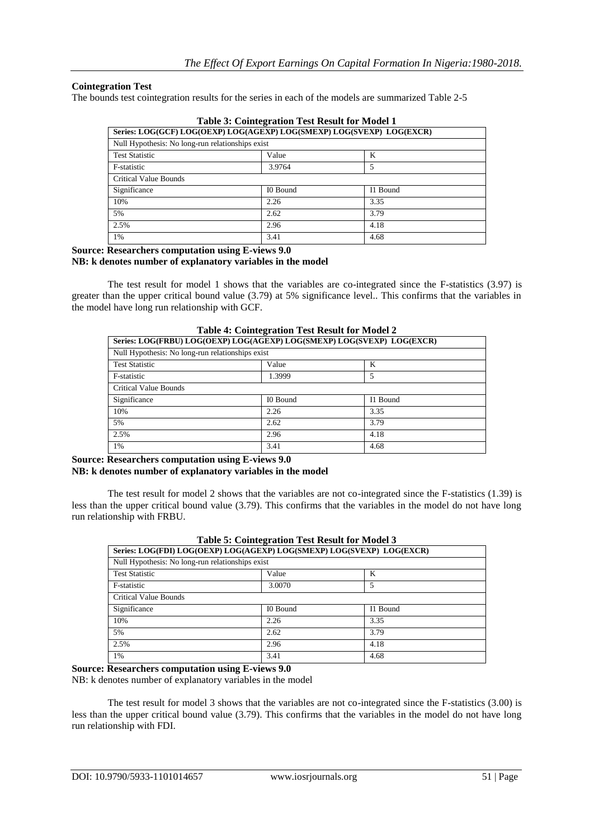## **Cointegration Test**

The bounds test cointegration results for the series in each of the models are summarized Table 2-5

| Series: LOG(GCF) LOG(OEXP) LOG(AGEXP) LOG(SMEXP) LOG(SVEXP) LOG(EXCR) |          |          |  |  |  |
|-----------------------------------------------------------------------|----------|----------|--|--|--|
| Null Hypothesis: No long-run relationships exist                      |          |          |  |  |  |
| <b>Test Statistic</b>                                                 | Value    | K        |  |  |  |
| F-statistic                                                           | 3.9764   | 5        |  |  |  |
| Critical Value Bounds                                                 |          |          |  |  |  |
| Significance                                                          | I0 Bound | I1 Bound |  |  |  |
| 10%                                                                   | 2.26     | 3.35     |  |  |  |
| 5%                                                                    | 2.62     | 3.79     |  |  |  |
| 2.5%                                                                  | 2.96     | 4.18     |  |  |  |
| 1%                                                                    | 3.41     | 4.68     |  |  |  |

**Table 3: Cointegration Test Result for Model 1**

#### **Source: Researchers computation using E-views 9.0 NB: k denotes number of explanatory variables in the model**

The test result for model 1 shows that the variables are co-integrated since the F-statistics (3.97) is greater than the upper critical bound value (3.79) at 5% significance level.. This confirms that the variables in the model have long run relationship with GCF.

| Series: LOG(FRBU) LOG(OEXP) LOG(AGEXP) LOG(SMEXP) LOG(SVEXP) LOG(EXCR) |          |          |  |  |  |  |
|------------------------------------------------------------------------|----------|----------|--|--|--|--|
| Null Hypothesis: No long-run relationships exist                       |          |          |  |  |  |  |
| <b>Test Statistic</b>                                                  | Value    | K        |  |  |  |  |
| F-statistic                                                            | 1.3999   | 5        |  |  |  |  |
| Critical Value Bounds                                                  |          |          |  |  |  |  |
| Significance                                                           | I0 Bound | I1 Bound |  |  |  |  |
| 10%                                                                    | 2.26     | 3.35     |  |  |  |  |
| 5%                                                                     | 2.62     | 3.79     |  |  |  |  |
| 2.5%                                                                   | 2.96     | 4.18     |  |  |  |  |
| 1%                                                                     | 3.41     | 4.68     |  |  |  |  |

| <b>Table 4: Cointegration Test Result for Model 2</b>     |  |
|-----------------------------------------------------------|--|
| EDDIA I QOʻQEVDA I QOʻLOEVDA I QOʻGMEVDA I QOʻGVEVDA I QO |  |

**Source: Researchers computation using E-views 9.0 NB: k denotes number of explanatory variables in the model**

The test result for model 2 shows that the variables are not co-integrated since the F-statistics (1.39) is less than the upper critical bound value (3.79). This confirms that the variables in the model do not have long run relationship with FRBU.

| Table 5: Cointegration Test Result for Model 3                        |          |          |  |  |  |  |
|-----------------------------------------------------------------------|----------|----------|--|--|--|--|
| Series: LOG(FDI) LOG(OEXP) LOG(AGEXP) LOG(SMEXP) LOG(SVEXP) LOG(EXCR) |          |          |  |  |  |  |
| Null Hypothesis: No long-run relationships exist                      |          |          |  |  |  |  |
| <b>Test Statistic</b>                                                 | Value    | K        |  |  |  |  |
| F-statistic                                                           | 3.0070   | 5        |  |  |  |  |
| Critical Value Bounds                                                 |          |          |  |  |  |  |
| Significance                                                          | I0 Bound | I1 Bound |  |  |  |  |
| 10%                                                                   | 2.26     | 3.35     |  |  |  |  |
| 5%                                                                    | 2.62     | 3.79     |  |  |  |  |
| 2.5%                                                                  | 2.96     | 4.18     |  |  |  |  |
| 1%                                                                    | 3.41     | 4.68     |  |  |  |  |

## **Table 5: Cointegration Test Result for Model 3**

**Source: Researchers computation using E-views 9.0**

NB: k denotes number of explanatory variables in the model

The test result for model 3 shows that the variables are not co-integrated since the F-statistics (3.00) is less than the upper critical bound value (3.79). This confirms that the variables in the model do not have long run relationship with FDI.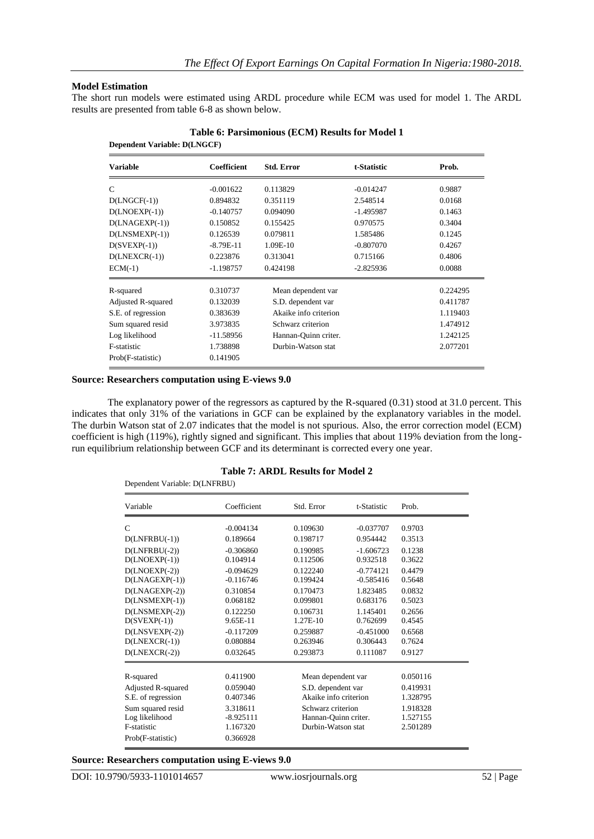#### **Model Estimation**

The short run models were estimated using ARDL procedure while ECM was used for model 1. The ARDL results are presented from table 6-8 as shown below.

| Prob.    |
|----------|
| 0.9887   |
| 0.0168   |
| 0.1463   |
| 0.3404   |
| 0.1245   |
| 0.4267   |
| 0.4806   |
| 0.0088   |
| 0.224295 |
| 0.411787 |
| 1.119403 |
| 1.474912 |
| 1.242125 |
| 2.077201 |
|          |
|          |

#### **Table 6: Parsimonious (ECM) Results for Model 1 Dependent Variable: D(LNGCF)**

## **Source: Researchers computation using E-views 9.0**

The explanatory power of the regressors as captured by the R-squared (0.31) stood at 31.0 percent. This indicates that only 31% of the variations in GCF can be explained by the explanatory variables in the model. The durbin Watson stat of 2.07 indicates that the model is not spurious. Also, the error correction model (ECM) coefficient is high (119%), rightly signed and significant. This implies that about 119% deviation from the longrun equilibrium relationship between GCF and its determinant is corrected every one year.

## **Table 7: ARDL Results for Model 2**

| Dependent Variable: D(LNFRBU)                                           |                                                 |                                                                 |                       |                                  |  |
|-------------------------------------------------------------------------|-------------------------------------------------|-----------------------------------------------------------------|-----------------------|----------------------------------|--|
| Variable                                                                | Coefficient                                     | Std. Error                                                      | t-Statistic           | Prob.                            |  |
| $\mathcal{C}$                                                           | $-0.004134$                                     | 0.109630                                                        | $-0.037707$           | 0.9703                           |  |
| $D(LNFRBU(-1))$                                                         | 0.189664                                        | 0.198717                                                        | 0.954442              | 0.3513                           |  |
| $D(LNFRBU(-2))$                                                         | $-0.306860$                                     | 0.190985                                                        | $-1.606723$           | 0.1238                           |  |
| $D(LNOEXP(-1))$                                                         | 0.104914                                        | 0.112506                                                        | 0.932518              | 0.3622                           |  |
| $D(LNOEXP(-2))$                                                         | $-0.094629$                                     | 0.122240                                                        | $-0.774121$           | 0.4479                           |  |
| $D(LNAGEXP(-1))$                                                        | $-0.116746$                                     | 0.199424                                                        | $-0.585416$           | 0.5648                           |  |
| $D(LNAGEXP(-2))$                                                        | 0.310854                                        | 0.170473                                                        | 1.823485              | 0.0832                           |  |
| $D(LNSMEXP(-1))$                                                        | 0.068182                                        | 0.099801                                                        | 0.683176              | 0.5023                           |  |
| $D(LNSMEXP(-2))$                                                        | 0.122250                                        | 0.106731                                                        | 1.145401              | 0.2656                           |  |
| $D(SVEXP(-1))$                                                          | 9.65E-11                                        | 1.27E-10                                                        | 0.762699              | 0.4545                           |  |
| $D(LNSVEXP(-2))$                                                        | $-0.117209$                                     | 0.259887                                                        | $-0.451000$           | 0.6568                           |  |
| $D(LNEXCR(-1))$                                                         | 0.080884                                        | 0.263946                                                        | 0.306443              | 0.7624                           |  |
| $D(LNEXCR(-2))$                                                         | 0.032645                                        | 0.293873                                                        | 0.111087              | 0.9127                           |  |
| R-squared                                                               | 0.411900                                        |                                                                 | Mean dependent var    |                                  |  |
| Adjusted R-squared                                                      | 0.059040                                        |                                                                 | S.D. dependent var    |                                  |  |
| S.E. of regression                                                      | 0.407346                                        |                                                                 | Akaike info criterion |                                  |  |
| Sum squared resid<br>Log likelihood<br>F-statistic<br>Prob(F-statistic) | 3.318611<br>$-8.925111$<br>1.167320<br>0.366928 | Schwarz criterion<br>Hannan-Quinn criter.<br>Durbin-Watson stat |                       | 1.918328<br>1.527155<br>2.501289 |  |

#### **Source: Researchers computation using E-views 9.0**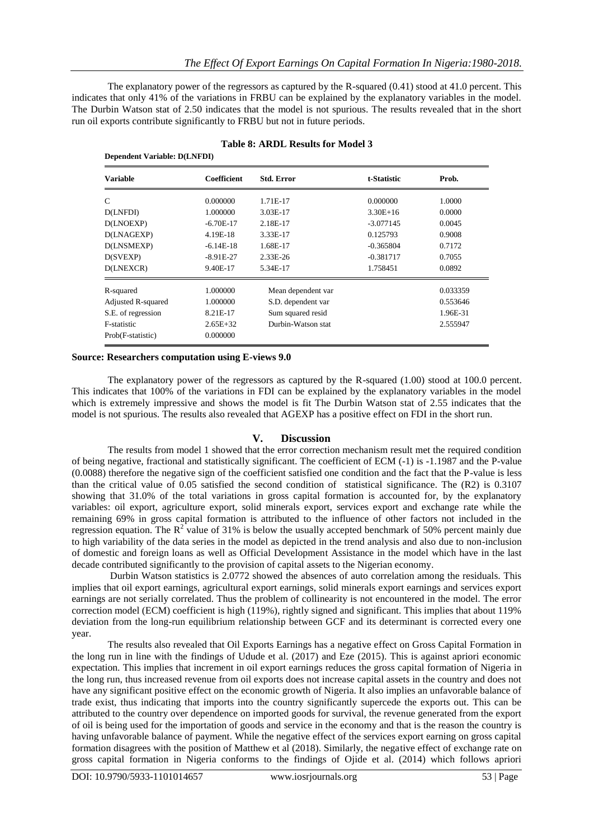The explanatory power of the regressors as captured by the R-squared (0.41) stood at 41.0 percent. This indicates that only 41% of the variations in FRBU can be explained by the explanatory variables in the model. The Durbin Watson stat of 2.50 indicates that the model is not spurious. The results revealed that in the short run oil exports contribute significantly to FRBU but not in future periods.

|                    | <b>Dependent Variable: D(LNFDI)</b> |                    |             |          |  |  |  |
|--------------------|-------------------------------------|--------------------|-------------|----------|--|--|--|
| <b>Variable</b>    | Coefficient                         | <b>Std. Error</b>  | t-Statistic | Prob.    |  |  |  |
| C                  | 0.000000                            | 1.71E-17           | 0.000000    | 1.0000   |  |  |  |
| D(LNFDI)           | 1.000000                            | 3.03E-17           | $3.30E+16$  | 0.0000   |  |  |  |
| D(LNOEXP)          | $-6.70E-17$                         | 2.18E-17           | $-3.077145$ | 0.0045   |  |  |  |
| D(LNAGEXP)         | 4.19E-18                            | 3.33E-17           | 0.125793    | 0.9008   |  |  |  |
| D(LNSMEXP)         | $-6.14E-18$                         | 1.68E-17           | $-0.365804$ | 0.7172   |  |  |  |
| D(SVEXP)           | $-8.91E-27$                         | 2.33E-26           | $-0.381717$ | 0.7055   |  |  |  |
| D(LNEXCR)          | 9.40E-17                            | 5.34E-17           | 1.758451    | 0.0892   |  |  |  |
| R-squared          | 1.000000                            | Mean dependent var |             | 0.033359 |  |  |  |
| Adjusted R-squared | 1.000000                            | S.D. dependent var |             | 0.553646 |  |  |  |
| S.E. of regression | 8.21E-17                            | Sum squared resid  |             | 1.96E-31 |  |  |  |
| <b>F-statistic</b> | $2.65E + 32$                        | Durbin-Watson stat |             | 2.555947 |  |  |  |
| Prob(F-statistic)  | 0.000000                            |                    |             |          |  |  |  |

| <b>Table 8: ARDL Results for Model 3</b> |  |  |  |
|------------------------------------------|--|--|--|
|                                          |  |  |  |

#### **Source: Researchers computation using E-views 9.0**

The explanatory power of the regressors as captured by the R-squared (1.00) stood at 100.0 percent. This indicates that 100% of the variations in FDI can be explained by the explanatory variables in the model which is extremely impressive and shows the model is fit The Durbin Watson stat of 2.55 indicates that the model is not spurious. The results also revealed that AGEXP has a positive effect on FDI in the short run.

## **V. Discussion**

The results from model 1 showed that the error correction mechanism result met the required condition of being negative, fractional and statistically significant. The coefficient of ECM (-1) is -1.1987 and the P-value (0.0088) therefore the negative sign of the coefficient satisfied one condition and the fact that the P-value is less than the critical value of 0.05 satisfied the second condition of statistical significance. The (R2) is 0.3107 showing that 31.0% of the total variations in gross capital formation is accounted for, by the explanatory variables: oil export, agriculture export, solid minerals export, services export and exchange rate while the remaining 69% in gross capital formation is attributed to the influence of other factors not included in the regression equation. The  $R^2$  value of 31% is below the usually accepted benchmark of 50% percent mainly due to high variability of the data series in the model as depicted in the trend analysis and also due to non-inclusion of domestic and foreign loans as well as Official Development Assistance in the model which have in the last decade contributed significantly to the provision of capital assets to the Nigerian economy.

Durbin Watson statistics is 2.0772 showed the absences of auto correlation among the residuals. This implies that oil export earnings, agricultural export earnings, solid minerals export earnings and services export earnings are not serially correlated. Thus the problem of collinearity is not encountered in the model. The error correction model (ECM) coefficient is high (119%), rightly signed and significant. This implies that about 119% deviation from the long-run equilibrium relationship between GCF and its determinant is corrected every one year.

The results also revealed that Oil Exports Earnings has a negative effect on Gross Capital Formation in the long run in line with the findings of Udude et al. (2017) and Eze (2015). This is against apriori economic expectation. This implies that increment in oil export earnings reduces the gross capital formation of Nigeria in the long run, thus increased revenue from oil exports does not increase capital assets in the country and does not have any significant positive effect on the economic growth of Nigeria. It also implies an unfavorable balance of trade exist, thus indicating that imports into the country significantly supercede the exports out. This can be attributed to the country over dependence on imported goods for survival, the revenue generated from the export of oil is being used for the importation of goods and service in the economy and that is the reason the country is having unfavorable balance of payment. While the negative effect of the services export earning on gross capital formation disagrees with the position of Matthew et al (2018). Similarly, the negative effect of exchange rate on gross capital formation in Nigeria conforms to the findings of Ojide et al. (2014) which follows apriori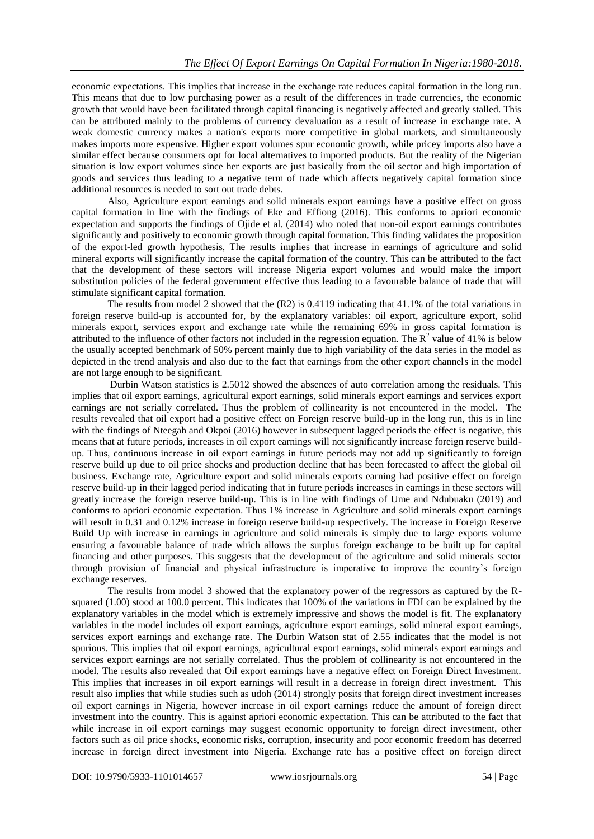economic expectations. This implies that increase in the exchange rate reduces capital formation in the long run. This means that due to low purchasing power as a result of the differences in trade currencies, the economic growth that would have been facilitated through capital financing is negatively affected and greatly stalled. This can be attributed mainly to the problems of currency devaluation as a result of increase in exchange rate. A weak domestic currency makes a nation's exports more competitive in global markets, and simultaneously makes imports more expensive. Higher export volumes spur [economic growth,](https://www.investopedia.com/terms/e/economicgrowth.asp) while pricey imports also have a similar effect because consumers opt for local alternatives to imported products. But the reality of the Nigerian situation is low export volumes since her exports are just basically from the oil sector and high importation of goods and services thus leading to a negative term of trade which affects negatively capital formation since additional resources is needed to sort out trade debts.

Also, Agriculture export earnings and solid minerals export earnings have a positive effect on gross capital formation in line with the findings of Eke and Effiong (2016). This conforms to apriori economic expectation and supports the findings of Ojide et al. (2014) who noted that non-oil export earnings contributes significantly and positively to economic growth through capital formation. This finding validates the proposition of the export-led growth hypothesis, The results implies that increase in earnings of agriculture and solid mineral exports will significantly increase the capital formation of the country. This can be attributed to the fact that the development of these sectors will increase Nigeria export volumes and would make the import substitution policies of the federal government effective thus leading to a favourable balance of trade that will stimulate significant capital formation.

The results from model 2 showed that the (R2) is 0.4119 indicating that 41.1% of the total variations in foreign reserve build-up is accounted for, by the explanatory variables: oil export, agriculture export, solid minerals export, services export and exchange rate while the remaining 69% in gross capital formation is attributed to the influence of other factors not included in the regression equation. The  $R^2$  value of 41% is below the usually accepted benchmark of 50% percent mainly due to high variability of the data series in the model as depicted in the trend analysis and also due to the fact that earnings from the other export channels in the model are not large enough to be significant.

Durbin Watson statistics is 2.5012 showed the absences of auto correlation among the residuals. This implies that oil export earnings, agricultural export earnings, solid minerals export earnings and services export earnings are not serially correlated. Thus the problem of collinearity is not encountered in the model. The results revealed that oil export had a positive effect on Foreign reserve build-up in the long run, this is in line with the findings of Nteegah and Okpoi (2016) however in subsequent lagged periods the effect is negative, this means that at future periods, increases in oil export earnings will not significantly increase foreign reserve buildup. Thus, continuous increase in oil export earnings in future periods may not add up significantly to foreign reserve build up due to oil price shocks and production decline that has been forecasted to affect the global oil business. Exchange rate, Agriculture export and solid minerals exports earning had positive effect on foreign reserve build-up in their lagged period indicating that in future periods increases in earnings in these sectors will greatly increase the foreign reserve build-up. This is in line with findings of Ume and Ndubuaku (2019) and conforms to apriori economic expectation. Thus 1% increase in Agriculture and solid minerals export earnings will result in 0.31 and 0.12% increase in foreign reserve build-up respectively. The increase in Foreign Reserve Build Up with increase in earnings in agriculture and solid minerals is simply due to large exports volume ensuring a favourable balance of trade which allows the surplus foreign exchange to be built up for capital financing and other purposes. This suggests that the development of the agriculture and solid minerals sector through provision of financial and physical infrastructure is imperative to improve the country's foreign exchange reserves.

The results from model 3 showed that the explanatory power of the regressors as captured by the Rsquared (1.00) stood at 100.0 percent. This indicates that 100% of the variations in FDI can be explained by the explanatory variables in the model which is extremely impressive and shows the model is fit. The explanatory variables in the model includes oil export earnings, agriculture export earnings, solid mineral export earnings, services export earnings and exchange rate. The Durbin Watson stat of 2.55 indicates that the model is not spurious. This implies that oil export earnings, agricultural export earnings, solid minerals export earnings and services export earnings are not serially correlated. Thus the problem of collinearity is not encountered in the model. The results also revealed that Oil export earnings have a negative effect on Foreign Direct Investment. This implies that increases in oil export earnings will result in a decrease in foreign direct investment. This result also implies that while studies such as udoh (2014) strongly posits that foreign direct investment increases oil export earnings in Nigeria, however increase in oil export earnings reduce the amount of foreign direct investment into the country. This is against apriori economic expectation. This can be attributed to the fact that while increase in oil export earnings may suggest economic opportunity to foreign direct investment, other factors such as oil price shocks, economic risks, corruption, insecurity and poor economic freedom has deterred increase in foreign direct investment into Nigeria. Exchange rate has a positive effect on foreign direct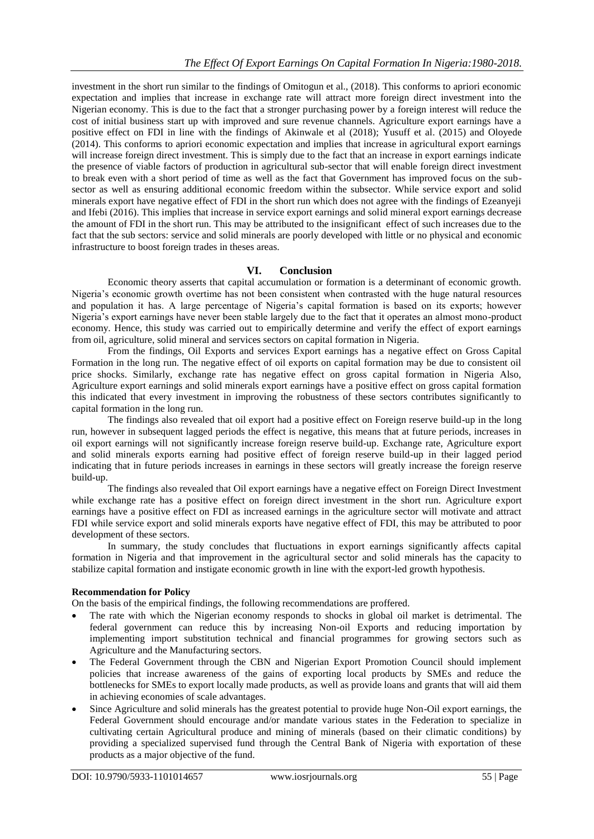investment in the short run similar to the findings of Omitogun et al., (2018). This conforms to apriori economic expectation and implies that increase in exchange rate will attract more foreign direct investment into the Nigerian economy. This is due to the fact that a stronger purchasing power by a foreign interest will reduce the cost of initial business start up with improved and sure revenue channels. Agriculture export earnings have a positive effect on FDI in line with the findings of Akinwale et al (2018); Yusuff et al. (2015) and Oloyede (2014). This conforms to apriori economic expectation and implies that increase in agricultural export earnings will increase foreign direct investment. This is simply due to the fact that an increase in export earnings indicate the presence of viable factors of production in agricultural sub-sector that will enable foreign direct investment to break even with a short period of time as well as the fact that Government has improved focus on the subsector as well as ensuring additional economic freedom within the subsector. While service export and solid minerals export have negative effect of FDI in the short run which does not agree with the findings of Ezeanyeji and Ifebi (2016). This implies that increase in service export earnings and solid mineral export earnings decrease the amount of FDI in the short run. This may be attributed to the insignificant effect of such increases due to the fact that the sub sectors: service and solid minerals are poorly developed with little or no physical and economic infrastructure to boost foreign trades in theses areas.

# **VI. Conclusion**

Economic theory asserts that capital accumulation or formation is a determinant of economic growth. Nigeria's economic growth overtime has not been consistent when contrasted with the huge natural resources and population it has. A large percentage of Nigeria's capital formation is based on its exports; however Nigeria's export earnings have never been stable largely due to the fact that it operates an almost mono-product economy. Hence, this study was carried out to empirically determine and verify the effect of export earnings from oil, agriculture, solid mineral and services sectors on capital formation in Nigeria.

From the findings, Oil Exports and services Export earnings has a negative effect on Gross Capital Formation in the long run. The negative effect of oil exports on capital formation may be due to consistent oil price shocks. Similarly, exchange rate has negative effect on gross capital formation in Nigeria Also, Agriculture export earnings and solid minerals export earnings have a positive effect on gross capital formation this indicated that every investment in improving the robustness of these sectors contributes significantly to capital formation in the long run.

The findings also revealed that oil export had a positive effect on Foreign reserve build-up in the long run, however in subsequent lagged periods the effect is negative, this means that at future periods, increases in oil export earnings will not significantly increase foreign reserve build-up. Exchange rate, Agriculture export and solid minerals exports earning had positive effect of foreign reserve build-up in their lagged period indicating that in future periods increases in earnings in these sectors will greatly increase the foreign reserve build-up.

The findings also revealed that Oil export earnings have a negative effect on Foreign Direct Investment while exchange rate has a positive effect on foreign direct investment in the short run. Agriculture export earnings have a positive effect on FDI as increased earnings in the agriculture sector will motivate and attract FDI while service export and solid minerals exports have negative effect of FDI, this may be attributed to poor development of these sectors.

In summary, the study concludes that fluctuations in export earnings significantly affects capital formation in Nigeria and that improvement in the agricultural sector and solid minerals has the capacity to stabilize capital formation and instigate economic growth in line with the export-led growth hypothesis.

## **Recommendation for Policy**

On the basis of the empirical findings, the following recommendations are proffered.

- The rate with which the Nigerian economy responds to shocks in global oil market is detrimental. The federal government can reduce this by increasing Non-oil Exports and reducing importation by implementing import substitution technical and financial programmes for growing sectors such as Agriculture and the Manufacturing sectors.
- The Federal Government through the CBN and Nigerian Export Promotion Council should implement policies that increase awareness of the gains of exporting local products by SMEs and reduce the bottlenecks for SMEs to export locally made products, as well as provide loans and grants that will aid them in achieving economies of scale advantages.
- Since Agriculture and solid minerals has the greatest potential to provide huge Non-Oil export earnings, the Federal Government should encourage and/or mandate various states in the Federation to specialize in cultivating certain Agricultural produce and mining of minerals (based on their climatic conditions) by providing a specialized supervised fund through the Central Bank of Nigeria with exportation of these products as a major objective of the fund.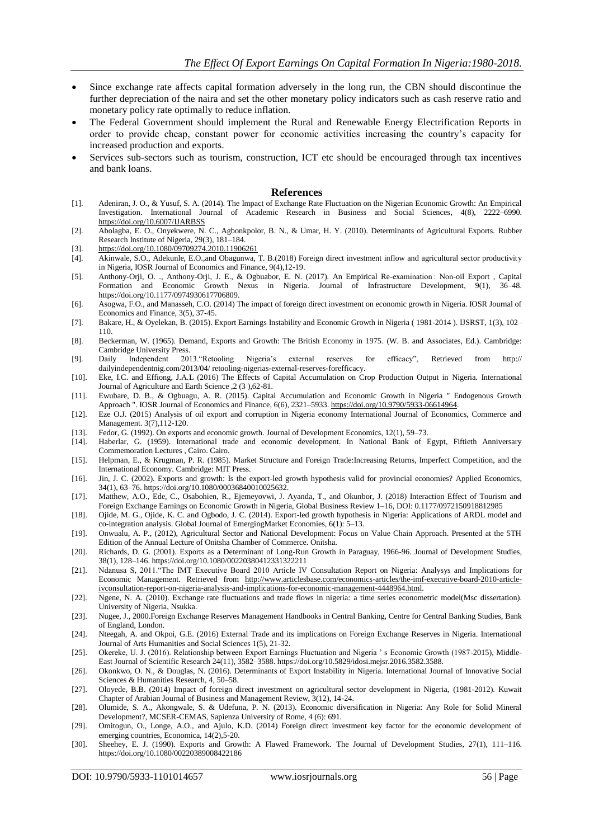- Since exchange rate affects capital formation adversely in the long run, the CBN should discontinue the further depreciation of the naira and set the other monetary policy indicators such as cash reserve ratio and monetary policy rate optimally to reduce inflation.
- The Federal Government should implement the Rural and Renewable Energy Electrification Reports in order to provide cheap, constant power for economic activities increasing the country's capacity for increased production and exports.
- Services sub-sectors such as tourism, construction, ICT etc should be encouraged through tax incentives and bank loans.

#### **References**

- [1]. Adeniran, J. O., & Yusuf, S. A. (2014). The Impact of Exchange Rate Fluctuation on the Nigerian Economic Growth: An Empirical Investigation. International Journal of Academic Research in Business and Social Sciences, 4(8), 2222–6990. <https://doi.org/10.6007/IJARBSS>
- [2]. Abolagba, E. O., Onyekwere, N. C., Agbonkpolor, B. N., & Umar, H. Y. (2010). Determinants of Agricultural Exports. Rubber Research Institute of Nigeria, 29(3), 181–184.
- 
- [3]. <https://doi.org/10.1080/09709274.2010.11906261><br>[4]. Akinwale, S.O., Adekunle, E.O., and Obagunwa, Akinwale, S.O., Adekunle, E.O.,and Obagunwa, T. B.(2018) Foreign direct investment inflow and agricultural sector productivity in Nigeria, IOSR Journal of Economics and Finance, 9(4),12-19.
- [5]. Anthony-Orji, O. ., Anthony-Orji, J. E., & Ogbuabor, E. N. (2017). An Empirical Re-examination : Non-oil Export , Capital Formation and Economic Growth Nexus in Nigeria. Journal of Infrastructure Development, 9(1), 36–48. https://doi.org/10.1177/0974930617706809.
- [6]. Asogwa, F.O., and Manasseh, C.O. (2014) The impact of foreign direct investment on economic growth in Nigeria. IOSR Journal of Economics and Finance, 3(5), 37-45.
- [7]. Bakare, H., & Oyelekan, B. (2015). Export Earnings Instability and Economic Growth in Nigeria ( 1981-2014 ). IJSRST, 1(3), 102– 110.
- [8]. Beckerman, W. (1965). Demand, Exports and Growth: The British Economy in 1975. (W. B. and Associates, Ed.). Cambridge: Cambridge University Press.
- [9]. Daily Independent 2013."Retooling Nigeria's external reserves for efficacy", Retrieved from http:// dailyindependentnig.com/2013/04/ retooling-nigerias-external-reserves-forefficacy.
- [10]. Eke, I.C. and Effiong, J.A.L (2016) The Effects of Capital Accumulation on Crop Production Output in Nigeria. International Journal of Agriculture and Earth Science ,2 (3 ),62-81.
- [11]. Ewubare, D. B., & Ogbuagu, A. R. (2015). Capital Accumulation and Economic Growth in Nigeria " Endogenous Growth Approach ". IOSR Journal of Economics and Finance, 6(6), 2321–5933[. https://doi.org/10.9790/5933-06614964.](https://doi.org/10.9790/5933-06614964)
- [12]. Eze O.J. (2015) Analysis of oil export and corruption in Nigeria economy International Journal of Economics, Commerce and Management. 3(7),112-120.
- [13]. Fedor, G. (1992). On exports and economic growth. Journal of Development Economics, 12(1), 59–73.
- [14]. Haberlar, G. (1959). International trade and economic development. In National Bank of Egypt, Fiftieth Anniversary Commemoration Lectures , Cairo. Cairo.
- [15]. Helpman, E., & Krugman, P. R. (1985). Market Structure and Foreign Trade:Increasing Returns, Imperfect Competition, and the International Economy. Cambridge: MIT Press.
- [16]. Jin, J. C. (2002). Exports and growth: Is the export-led growth hypothesis valid for provincial economies? Applied Economics, 34(1), 63–76. https://doi.org/10.1080/00036840010025632.
- [17]. Matthew, A.O., Ede, C., Osabohien, R., Ejemeyovwi, J. Ayanda, T., and Okunbor, J. (2018) Interaction Effect of Tourism and Foreign Exchange Earnings on Economic Growth in Nigeria, Global Business Review 1–16, DOI: 0.1177/0972150918812985
- [18]. Ojide, M. G., Ojide, K. C. and Ogbodo, J. C. (2014). Export-led growth hypothesis in Nigeria: Applications of ARDL model and co-integration analysis. Global Journal of EmergingMarket Economies, 6(1): 5–13.
- [19]. Onwualu, A. P., (2012), Agricultural Sector and National Development: Focus on Value Chain Approach. Presented at the 5TH Edition of the Annual Lecture of Onitsha Chamber of Commerce. Onitsha.
- [20]. Richards, D. G. (2001). Exports as a Determinant of Long-Run Growth in Paraguay, 1966-96. Journal of Development Studies, 38(1), 128–146. https://doi.org/10.1080/00220380412331322211
- [21]. Ndanusa S, 2011."The IMT Executive Board 2010 Article IV Consultation Report on Nigeria: Analysys and Implications for Economic Management. Retrieved from [http://www.articlesbase.com/economics-articles/the-imf-executive-board-2010-article](http://www.articlesbase.com/economics-articles/the-imf-executive-board-2010-article-ivconsultation-report-on-nigeria-analysis-and-implications-for-economic-management-4448964.html)[ivconsultation-report-on-nigeria-analysis-and-implications-for-economic-management-4448964.html.](http://www.articlesbase.com/economics-articles/the-imf-executive-board-2010-article-ivconsultation-report-on-nigeria-analysis-and-implications-for-economic-management-4448964.html)
- [22]. Ngene, N. A. (2010). Exchange rate fluctuations and trade flows in nigeria: a time series econometric model(Msc dissertation). University of Nigeria, Nsukka.
- [23]. Nugee, J., 2000.Foreign Exchange Reserves Management Handbooks in Central Banking, Centre for Central Banking Studies, Bank of England, London.
- [24]. Nteegah, A. and Okpoi, G.E. (2016) External Trade and its implications on Foreign Exchange Reserves in Nigeria. International Journal of Arts Humanities and Social Sciences 1(5), 21-32.
- [25]. Okereke, U. J. (2016). Relationship between Export Earnings Fluctuation and Nigeria ' s Economic Growth (1987-2015), Middle-East Journal of Scientific Research 24(11), 3582–3588. https://doi.org/10.5829/idosi.mejsr.2016.3582.3588.
- [26]. Okonkwo, O. N., & Douglas, N. (2016). Determinants of Export Instability in Nigeria. International Journal of Innovative Social Sciences & Humanities Research, 4, 50–58.
- [27]. Oloyede, B.B. (2014) Impact of foreign direct investment on agricultural sector development in Nigeria, (1981-2012). Kuwait Chapter of Arabian Journal of Business and Management Review, 3(12), 14-24.
- [28]. Olumide, S. A., Akongwale, S. & Udefuna, P. N. (2013). Economic diversification in Nigeria: Any Role for Solid Mineral Development?, MCSER-CEMAS, Sapienza University of Rome, 4 (6): 691.
- [29]. Omitogun, O., Longe, A.O., and Ajulo, K.D. (2014) Foreign direct investment key factor for the economic development of emerging countries, Economica, 14(2),5-20.
- [30]. Sheehey, E. J. (1990). Exports and Growth: A Flawed Framework. The Journal of Development Studies, 27(1), 111–116. https://doi.org/10.1080/00220389008422186